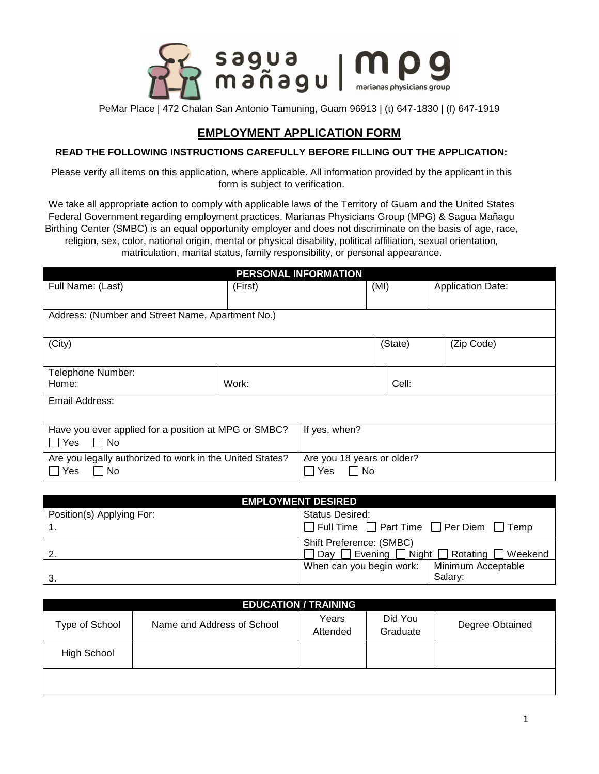

## **EMPLOYMENT APPLICATION FORM**

## **READ THE FOLLOWING INSTRUCTIONS CAREFULLY BEFORE FILLING OUT THE APPLICATION:**

Please verify all items on this application, where applicable. All information provided by the applicant in this form is subject to verification.

We take all appropriate action to comply with applicable laws of the Territory of Guam and the United States Federal Government regarding employment practices. Marianas Physicians Group (MPG) & Sagua Mañagu Birthing Center (SMBC) is an equal opportunity employer and does not discriminate on the basis of age, race, religion, sex, color, national origin, mental or physical disability, political affiliation, sexual orientation, matriculation, marital status, family responsibility, or personal appearance.

| <b>PERSONAL INFORMATION</b>                              |         |                            |         |            |                          |
|----------------------------------------------------------|---------|----------------------------|---------|------------|--------------------------|
| Full Name: (Last)                                        | (First) |                            | (MI)    |            | <b>Application Date:</b> |
|                                                          |         |                            |         |            |                          |
| Address: (Number and Street Name, Apartment No.)         |         |                            |         |            |                          |
|                                                          |         |                            |         |            |                          |
| (City)                                                   |         |                            | (State) | (Zip Code) |                          |
|                                                          |         |                            |         |            |                          |
| Telephone Number:                                        |         |                            |         |            |                          |
| Home:                                                    | Work:   |                            |         | Cell:      |                          |
| Email Address:                                           |         |                            |         |            |                          |
|                                                          |         |                            |         |            |                          |
| Have you ever applied for a position at MPG or SMBC?     |         | If yes, when?              |         |            |                          |
| Yes<br>l INo                                             |         |                            |         |            |                          |
| Are you legally authorized to work in the United States? |         | Are you 18 years or older? |         |            |                          |
| ∐ Yes<br>No.                                             |         | Yes<br>∣ I No              |         |            |                          |
|                                                          |         |                            |         |            |                          |

| <b>EMPLOYMENT DESIRED</b> |                                                                       |  |  |
|---------------------------|-----------------------------------------------------------------------|--|--|
| Position(s) Applying For: | <b>Status Desired:</b>                                                |  |  |
|                           | $\Box$ Full Time $\Box$ Part Time $\Box$ Per Diem $\Box$ Temp         |  |  |
| Shift Preference: (SMBC)  |                                                                       |  |  |
|                           | $\Box$ Day $\Box$ Evening $\Box$ Night $\Box$ Rotating $\Box$ Weekend |  |  |
|                           | Minimum Acceptable<br>When can you begin work:                        |  |  |
| -3.                       | Salary:                                                               |  |  |

| <b>EDUCATION / TRAINING</b> |                            |                   |                     |                 |  |
|-----------------------------|----------------------------|-------------------|---------------------|-----------------|--|
| Type of School              | Name and Address of School | Years<br>Attended | Did You<br>Graduate | Degree Obtained |  |
| High School                 |                            |                   |                     |                 |  |
|                             |                            |                   |                     |                 |  |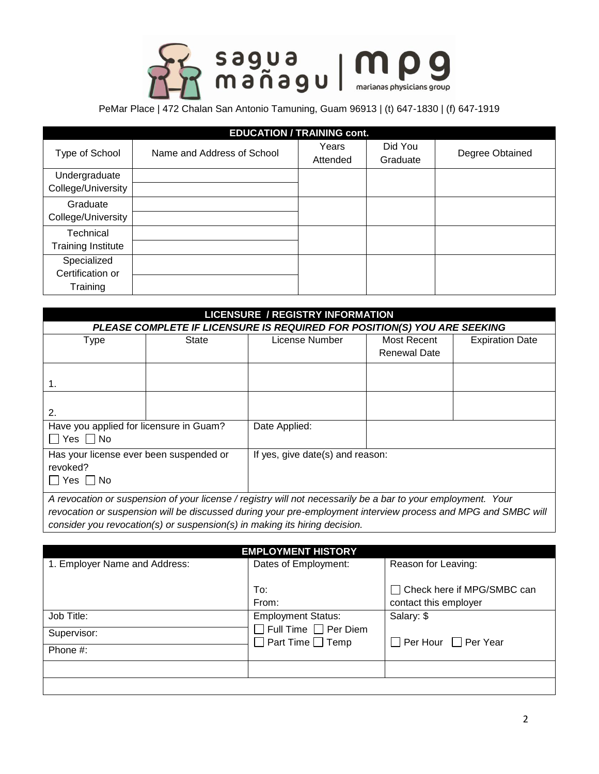

| <b>EDUCATION / TRAINING cont.</b>           |                            |                   |                     |                 |  |
|---------------------------------------------|----------------------------|-------------------|---------------------|-----------------|--|
| Type of School                              | Name and Address of School | Years<br>Attended | Did You<br>Graduate | Degree Obtained |  |
| Undergraduate<br>College/University         |                            |                   |                     |                 |  |
| Graduate<br>College/University              |                            |                   |                     |                 |  |
| Technical<br><b>Training Institute</b>      |                            |                   |                     |                 |  |
| Specialized<br>Certification or<br>Training |                            |                   |                     |                 |  |

| <b>LICENSURE / REGISTRY INFORMATION</b>                                                                     |                                                                          |                                  |                     |                        |  |
|-------------------------------------------------------------------------------------------------------------|--------------------------------------------------------------------------|----------------------------------|---------------------|------------------------|--|
|                                                                                                             | PLEASE COMPLETE IF LICENSURE IS REQUIRED FOR POSITION(S) YOU ARE SEEKING |                                  |                     |                        |  |
| Type                                                                                                        | <b>State</b>                                                             | License Number                   | Most Recent         | <b>Expiration Date</b> |  |
|                                                                                                             |                                                                          |                                  | <b>Renewal Date</b> |                        |  |
|                                                                                                             |                                                                          |                                  |                     |                        |  |
| 1.                                                                                                          |                                                                          |                                  |                     |                        |  |
|                                                                                                             |                                                                          |                                  |                     |                        |  |
| 2.                                                                                                          |                                                                          |                                  |                     |                        |  |
| Have you applied for licensure in Guam?                                                                     |                                                                          | Date Applied:                    |                     |                        |  |
| $\Box$ Yes $\Box$ No                                                                                        |                                                                          |                                  |                     |                        |  |
| Has your license ever been suspended or                                                                     |                                                                          | If yes, give date(s) and reason: |                     |                        |  |
| revoked?                                                                                                    |                                                                          |                                  |                     |                        |  |
| $\Box$ Yes $\Box$ No                                                                                        |                                                                          |                                  |                     |                        |  |
| A revention or quenonojan of vour ligance / registry will not necessarily be a ber to vour employment. Vour |                                                                          |                                  |                     |                        |  |

*A revocation or suspension of your license / registry will not necessarily be a bar to your employment. Your revocation or suspension will be discussed during your pre-employment interview process and MPG and SMBC will consider you revocation(s) or suspension(s) in making its hiring decision.*

| <b>EMPLOYMENT HISTORY</b>     |                                                                  |                                                       |  |  |  |
|-------------------------------|------------------------------------------------------------------|-------------------------------------------------------|--|--|--|
| 1. Employer Name and Address: | Dates of Employment:                                             | Reason for Leaving:                                   |  |  |  |
|                               | To:<br>From:                                                     | □ Check here if MPG/SMBC can<br>contact this employer |  |  |  |
| Job Title:                    | <b>Employment Status:</b>                                        | Salary: \$                                            |  |  |  |
| Supervisor:                   | $\Box$ Full Time $\Box$ Per Diem<br>$\Box$ Part Time $\Box$ Temp | $\Box$ Per Hour $\Box$ Per Year                       |  |  |  |
| Phone $#$ :                   |                                                                  |                                                       |  |  |  |
|                               |                                                                  |                                                       |  |  |  |
|                               |                                                                  |                                                       |  |  |  |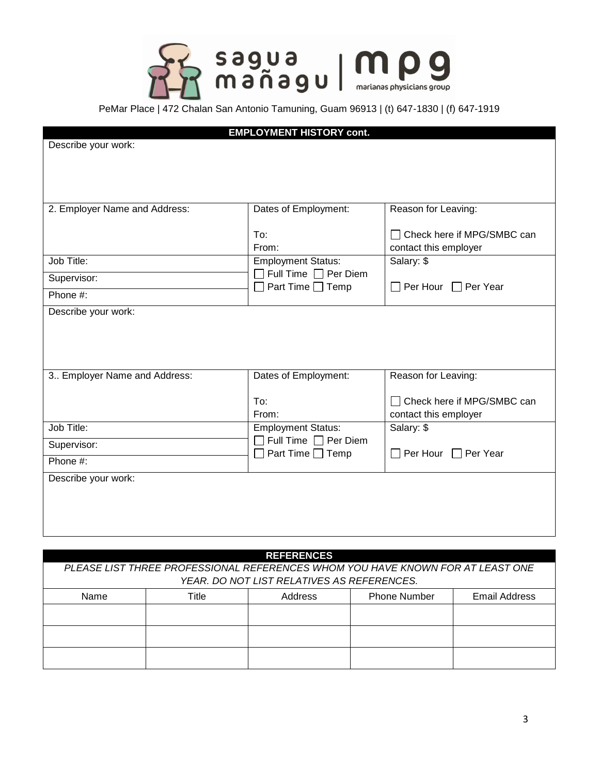

|                               | <b>EMPLOYMENT HISTORY cont.</b>                                 |                                                 |  |
|-------------------------------|-----------------------------------------------------------------|-------------------------------------------------|--|
| Describe your work:           |                                                                 |                                                 |  |
|                               |                                                                 |                                                 |  |
|                               |                                                                 |                                                 |  |
|                               |                                                                 |                                                 |  |
| 2. Employer Name and Address: | Dates of Employment:                                            | Reason for Leaving:                             |  |
|                               |                                                                 |                                                 |  |
|                               | To:                                                             | Check here if MPG/SMBC can                      |  |
|                               | From:                                                           | contact this employer                           |  |
| Job Title:                    | <b>Employment Status:</b>                                       | Salary: \$                                      |  |
| Supervisor:                   | Full Time $\Box$ Per Diem<br>$\blacksquare$<br>Part Time □ Temp | Per Hour □ Per Year<br>$\overline{\phantom{a}}$ |  |
| Phone #:                      |                                                                 |                                                 |  |
| Describe your work:           |                                                                 |                                                 |  |
|                               |                                                                 |                                                 |  |
|                               |                                                                 |                                                 |  |
|                               |                                                                 |                                                 |  |
| 3. Employer Name and Address: | Dates of Employment:                                            | Reason for Leaving:                             |  |
|                               |                                                                 |                                                 |  |
|                               | To:                                                             | Check here if MPG/SMBC can                      |  |
|                               | From:                                                           | contact this employer                           |  |
| Job Title:                    | <b>Employment Status:</b>                                       | Salary: \$                                      |  |
| Supervisor:                   | Full Time $\Box$ Per Diem<br>Part Time $\Box$ Temp              | $\Box$ Per Hour $\Box$ Per Year                 |  |
| Phone #:                      |                                                                 |                                                 |  |
| Describe your work:           |                                                                 |                                                 |  |
|                               |                                                                 |                                                 |  |
|                               |                                                                 |                                                 |  |
|                               |                                                                 |                                                 |  |
|                               |                                                                 |                                                 |  |

| <b>REFERENCES</b>                          |                                                                                |  |  |  |  |
|--------------------------------------------|--------------------------------------------------------------------------------|--|--|--|--|
|                                            | PLEASE LIST THREE PROFESSIONAL REFERENCES WHOM YOU HAVE KNOWN FOR AT LEAST ONE |  |  |  |  |
| YEAR. DO NOT LIST RELATIVES AS REFERENCES. |                                                                                |  |  |  |  |
| Name                                       | Title<br><b>Phone Number</b><br>Address<br>Email Address                       |  |  |  |  |
|                                            |                                                                                |  |  |  |  |
|                                            |                                                                                |  |  |  |  |
|                                            |                                                                                |  |  |  |  |